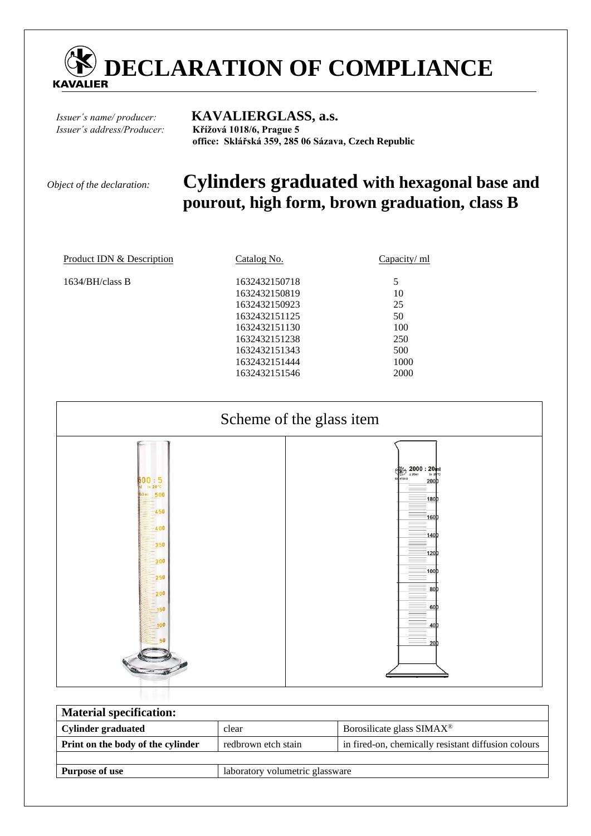

# *Issuer´s name/ producer:* **KAVALIERGLASS, a.s.**

*Issuer´s address/Producer:* **Křížová 1018/6, Prague 5 office: Sklářská 359, 285 06 Sázava, Czech Republic** 

# *Object of the declaration:* **Cylinders graduated with hexagonal base and pourout, high form, brown graduation, class B**

| Product IDN & Description | Catalog No.   | Capacity/ ml |  |
|---------------------------|---------------|--------------|--|
| $1634/BH$ /class B        | 1632432150718 | 5            |  |
|                           | 1632432150819 | 10           |  |
|                           | 1632432150923 | 25           |  |
|                           | 1632432151125 | 50           |  |
|                           | 1632432151130 | 100          |  |
|                           | 1632432151238 | 250          |  |
|                           | 1632432151343 | 500          |  |
|                           | 1632432151444 | 1000         |  |
|                           | 1632432151546 | 2000         |  |
|                           |               |              |  |



| <b>Material specification:</b>    |                                                                            |                                        |  |  |  |  |
|-----------------------------------|----------------------------------------------------------------------------|----------------------------------------|--|--|--|--|
| <b>Cylinder graduated</b>         | clear                                                                      | Borosilicate glass $SIMAX^{\circledR}$ |  |  |  |  |
| Print on the body of the cylinder | in fired-on, chemically resistant diffusion colours<br>redbrown etch stain |                                        |  |  |  |  |
|                                   |                                                                            |                                        |  |  |  |  |
| <b>Purpose of use</b>             | laboratory volumetric glassware                                            |                                        |  |  |  |  |
|                                   |                                                                            |                                        |  |  |  |  |